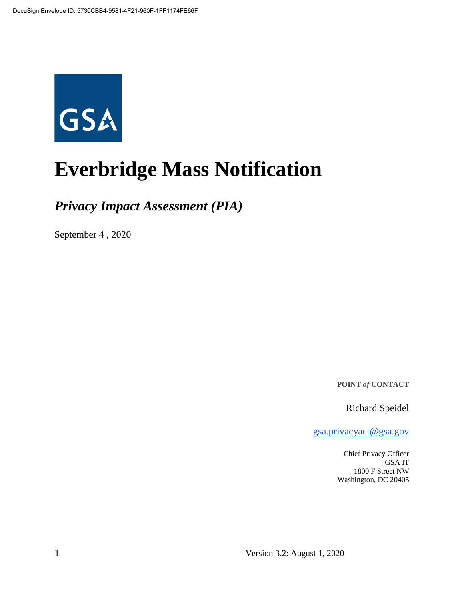

# **Everbridge Mass Notification**

*Privacy Impact Assessment (PIA)*

September 4 , 2020

**POINT** *of* **CONTACT**

Richard Speidel

gsa.privacyact@gsa.gov

Chief Privacy Officer GSA IT 1800 F Street NW Washington, DC 20405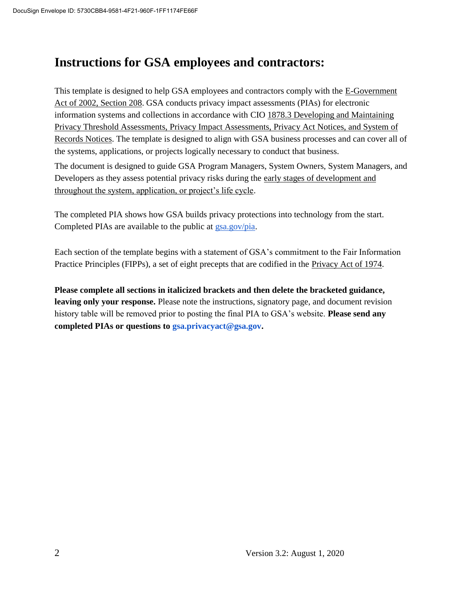# **Instructions for GSA employees and contractors:**

This template is designed to help GSA employees and contractors comply with the E-Government Act of 2002, Section 208. GSA conducts privacy impact assessments (PIAs) for electronic information systems and collections in accordance with CIO 1878.3 Developing and Maintaining Privacy Threshold Assessments, Privacy Impact Assessments, Privacy Act Notices, and System of Records Notices. The template is designed to align with GSA business processes and can cover all of the systems, applications, or projects logically necessary to conduct that business.

The document is designed to guide GSA Program Managers, System Owners, System Managers, and Developers as they assess potential privacy risks during the early stages of development and throughout the system, application, or project's life cycle.

The completed PIA shows how GSA builds privacy protections into technology from the start. Completed PIAs are available to the public at gsa.gov/pia.

Each section of the template begins with a statement of GSA's commitment to the Fair Information Practice Principles (FIPPs), a set of eight precepts that are codified in the Privacy Act of 1974.

**Please complete all sections in italicized brackets and then delete the bracketed guidance, leaving only your response.** Please note the instructions, signatory page, and document revision history table will be removed prior to posting the final PIA to GSA's website. **Please send any completed PIAs or questions to gsa.privacyact@gsa.gov.**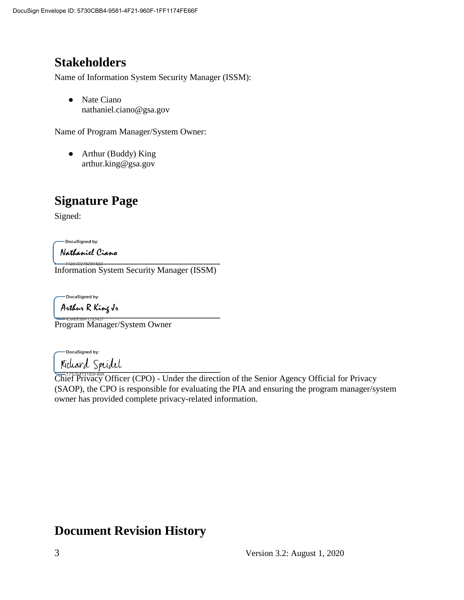# **Stakeholders**

Name of Information System Security Manager (ISSM):

● Nate Ciano nathaniel.ciano@gsa.gov

Name of Program Manager/System Owner:

• Arthur (Buddy) King arthur.king@gsa.gov

# **Signature Page**

Signed:

DocuSigned by:

Nathaniel Ciano

**\_\_\_\_\_\_\_\_\_\_\_\_\_\_\_\_\_\_\_\_\_\_\_\_\_\_\_\_\_\_\_\_\_\_\_\_\_\_** Information System Security Manager (ISSM)

-DocuSigned by:

A*rthur* R King J*r*<br>——4380E8841293437

Program Manager/System Owner

DocuSigned by:

 $\frac{1}{2}$ Chief Privacy Officer (CPO) - Under the direction of the Senior Agency Official for Privacy (SAOP), the CPO is responsible for evaluating the PIA and ensuring the program manager/system owner has provided complete privacy-related information.

## **Document Revision History**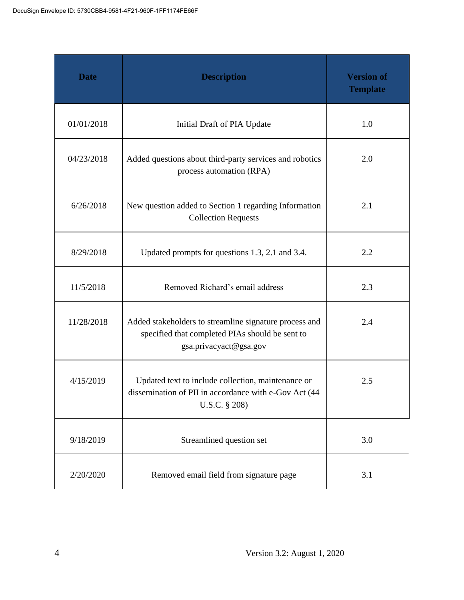| <b>Date</b> | <b>Description</b>                                                                                                                  | <b>Version of</b><br><b>Template</b> |
|-------------|-------------------------------------------------------------------------------------------------------------------------------------|--------------------------------------|
| 01/01/2018  | Initial Draft of PIA Update                                                                                                         | 1.0                                  |
| 04/23/2018  | Added questions about third-party services and robotics<br>process automation (RPA)                                                 | 2.0                                  |
| 6/26/2018   | New question added to Section 1 regarding Information<br><b>Collection Requests</b>                                                 | 2.1                                  |
| 8/29/2018   | Updated prompts for questions 1.3, 2.1 and 3.4.                                                                                     | 2.2                                  |
| 11/5/2018   | Removed Richard's email address                                                                                                     | 2.3                                  |
| 11/28/2018  | Added stakeholders to streamline signature process and<br>specified that completed PIAs should be sent to<br>gsa.privacyact@gsa.gov | 2.4                                  |
| 4/15/2019   | Updated text to include collection, maintenance or<br>dissemination of PII in accordance with e-Gov Act (44<br>U.S.C. § 208)        | 2.5                                  |
| 9/18/2019   | Streamlined question set                                                                                                            | 3.0                                  |
| 2/20/2020   | Removed email field from signature page                                                                                             | 3.1                                  |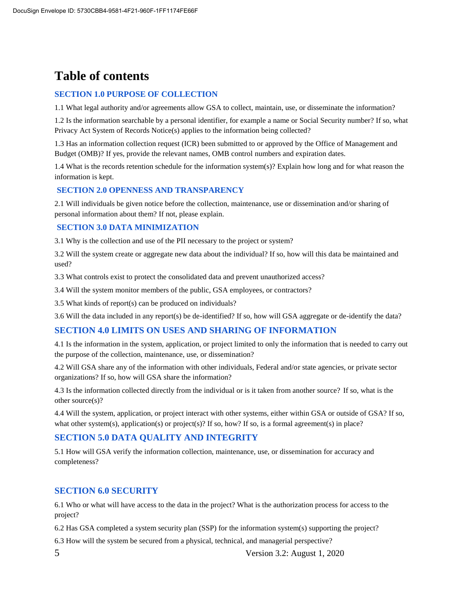# **Table of contents**

#### **SECTION 1.0 PURPOSE OF COLLECTION**

1.1 What legal authority and/or agreements allow GSA to collect, maintain, use, or disseminate the information?

1.2 Is the information searchable by a personal identifier, for example a name or Social Security number? If so, what Privacy Act System of Records Notice(s) applies to the information being collected?

1.3 Has an information collection request (ICR) been submitted to or approved by the Office of Management and Budget (OMB)? If yes, provide the relevant names, OMB control numbers and expiration dates.

1.4 What is the records retention schedule for the information system(s)? Explain how long and for what reason the information is kept.

#### **SECTION 2.0 OPENNESS AND TRANSPARENCY**

2.1 Will individuals be given notice before the collection, maintenance, use or dissemination and/or sharing of personal information about them? If not, please explain.

#### **SECTION 3.0 DATA MINIMIZATION**

3.1 Why is the collection and use of the PII necessary to the project or system?

3.2 Will the system create or aggregate new data about the individual? If so, how will this data be maintained and used?

3.3 What controls exist to protect the consolidated data and prevent unauthorized access?

3.4 Will the system monitor members of the public, GSA employees, or contractors?

3.5 What kinds of report(s) can be produced on individuals?

3.6 Will the data included in any report(s) be de-identified? If so, how will GSA aggregate or de-identify the data?

#### **SECTION 4.0 LIMITS ON USES AND SHARING OF INFORMATION**

4.1 Is the information in the system, application, or project limited to only the information that is needed to carry out the purpose of the collection, maintenance, use, or dissemination?

4.2 Will GSA share any of the information with other individuals, Federal and/or state agencies, or private sector organizations? If so, how will GSA share the information?

4.3 Is the information collected directly from the individual or is it taken from another source? If so, what is the other source(s)?

4.4 Will the system, application, or project interact with other systems, either within GSA or outside of GSA? If so, what other system(s), application(s) or project(s)? If so, how? If so, is a formal agreement(s) in place?

#### **SECTION 5.0 DATA QUALITY AND INTEGRITY**

5.1 How will GSA verify the information collection, maintenance, use, or dissemination for accuracy and completeness?

#### **SECTION 6.0 SECURITY**

6.1 Who or what will have access to the data in the project? What is the authorization process for access to the project?

6.2 Has GSA completed a system security plan (SSP) for the information system(s) supporting the project?

6.3 How will the system be secured from a physical, technical, and managerial perspective?

5 Version 3.2: August 1, 2020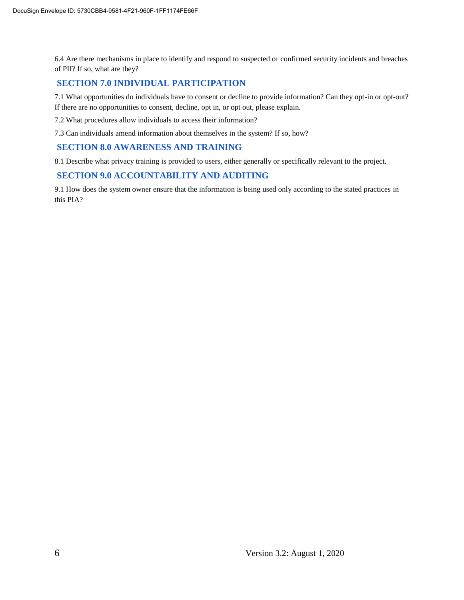6.4 Are there mechanisms in place to identify and respond to suspected or confirmed security incidents and breaches of PII? If so, what are they?

#### **SECTION 7.0 INDIVIDUAL PARTICIPATION**

7.1 What opportunities do individuals have to consent or decline to provide information? Can they opt-in or opt-out? If there are no opportunities to consent, decline, opt in, or opt out, please explain.

7.2 What procedures allow individuals to access their information?

7.3 Can individuals amend information about themselves in the system? If so, how?

#### **SECTION 8.0 AWARENESS AND TRAINING**

8.1 Describe what privacy training is provided to users, either generally or specifically relevant to the project.

#### **SECTION 9.0 ACCOUNTABILITY AND AUDITING**

9.1 How does the system owner ensure that the information is being used only according to the stated practices in this PIA?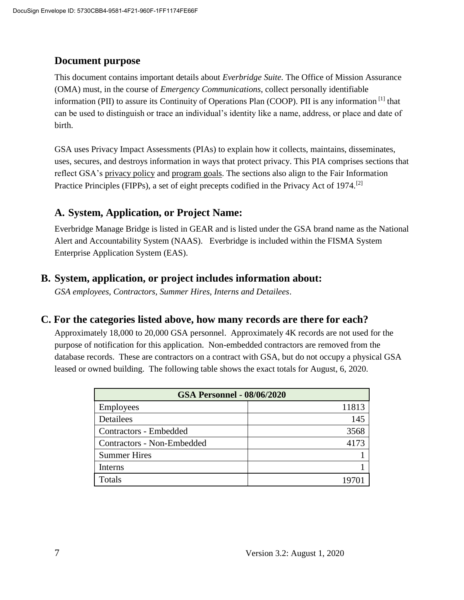#### **Document purpose**

This document contains important details about *Everbridge Suite.* The Office of Mission Assurance (OMA) must, in the course of *Emergency Communications*, collect personally identifiable information (PII) to assure its Continuity of Operations Plan (COOP). PII is any information [1] that can be used to distinguish or trace an individual's identity like a name, address, or place and date of birth.

GSA uses Privacy Impact Assessments (PIAs) to explain how it collects, maintains, disseminates, uses, secures, and destroys information in ways that protect privacy. This PIA comprises sections that reflect GSA's privacy policy and program goals. The sections also align to the Fair Information Practice Principles (FIPPs), a set of eight precepts codified in the Privacy Act of 1974.<sup>[2]</sup>

#### **A. System, Application, or Project Name:**

Everbridge Manage Bridge is listed in GEAR and is listed under the GSA brand name as the National Alert and Accountability System (NAAS). Everbridge is included within the FISMA System Enterprise Application System (EAS).

#### **B. System, application, or project includes information about:**

*GSA employees, Contractors, Summer Hires, Interns and Detailees*.

#### **C. For the categories listed above, how many records are there for each?**

Approximately 18,000 to 20,000 GSA personnel. Approximately 4K records are not used for the purpose of notification for this application. Non-embedded contractors are removed from the database records. These are contractors on a contract with GSA, but do not occupy a physical GSA leased or owned building. The following table shows the exact totals for August, 6, 2020.

| <b>GSA Personnel - 08/06/2020</b> |       |  |
|-----------------------------------|-------|--|
| Employees                         | 11813 |  |
| Detailees                         | 145   |  |
| <b>Contractors - Embedded</b>     | 3568  |  |
| Contractors - Non-Embedded        | 4173  |  |
| <b>Summer Hires</b>               |       |  |
| Interns                           |       |  |
| Totals                            |       |  |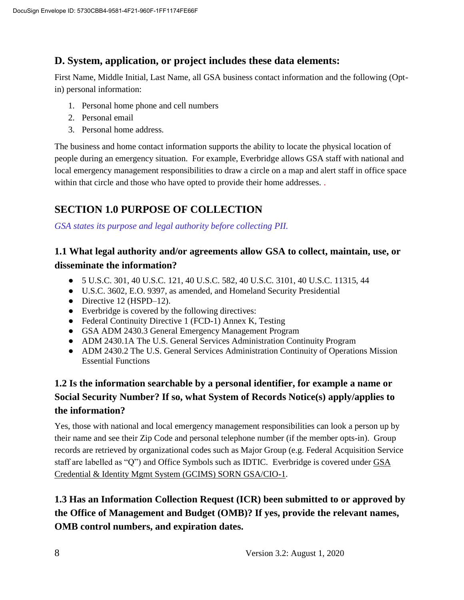#### **D. System, application, or project includes these data elements:**

First Name, Middle Initial, Last Name, all GSA business contact information and the following (Optin) personal information:

- 1. Personal home phone and cell numbers
- 2. Personal email
- 3. Personal home address.

The business and home contact information supports the ability to locate the physical location of people during an emergency situation. For example, Everbridge allows GSA staff with national and local emergency management responsibilities to draw a circle on a map and alert staff in office space within that circle and those who have opted to provide their home addresses...

# **SECTION 1.0 PURPOSE OF COLLECTION**

*GSA states its purpose and legal authority before collecting PII.*

#### **1.1 What legal authority and/or agreements allow GSA to collect, maintain, use, or disseminate the information?**

- 5 U.S.C. 301, 40 U.S.C. 121, 40 U.S.C. 582, 40 U.S.C. 3101, 40 U.S.C. 11315, 44
- U.S.C. 3602, E.O. 9397, as amended, and Homeland Security Presidential
- $\bullet$  Directive 12 (HSPD–12).
- Everbridge is covered by the following directives:
- Federal Continuity Directive 1 (FCD-1) Annex K, Testing
- GSA ADM 2430.3 General Emergency Management Program
- ADM 2430.1A The U.S. General Services Administration Continuity Program
- ADM 2430.2 The U.S. General Services Administration Continuity of Operations Mission Essential Functions

## **1.2 Is the information searchable by a personal identifier, for example a name or Social Security Number? If so, what System of Records Notice(s) apply/applies to the information?**

Yes, those with national and local emergency management responsibilities can look a person up by their name and see their Zip Code and personal telephone number (if the member opts-in). Group records are retrieved by organizational codes such as Major Group (e.g. Federal Acquisition Service staff are labelled as "Q") and Office Symbols such as IDTIC. Everbridge is covered under GSA Credential & Identity Mgmt System (GCIMS) SORN GSA/CIO-1.

## **1.3 Has an Information Collection Request (ICR) been submitted to or approved by the Office of Management and Budget (OMB)? If yes, provide the relevant names, OMB control numbers, and expiration dates.**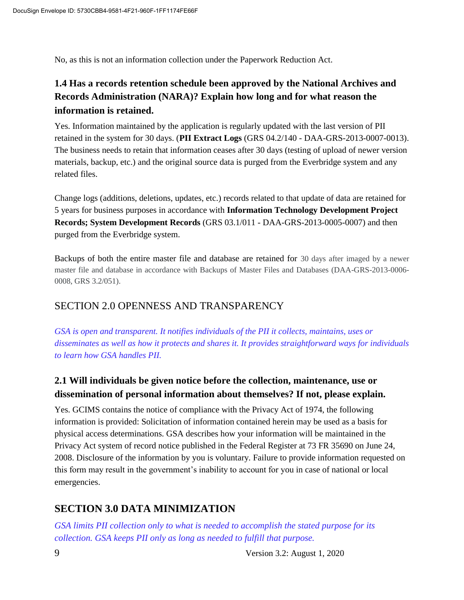No, as this is not an information collection under the Paperwork Reduction Act.

#### **1.4 Has a records retention schedule been approved by the National Archives and Records Administration (NARA)? Explain how long and for what reason the information is retained.**

Yes. Information maintained by the application is regularly updated with the last version of PII retained in the system for 30 days. (**PII Extract Logs** (GRS 04.2/140 - DAA-GRS-2013-0007-0013). The business needs to retain that information ceases after 30 days (testing of upload of newer version materials, backup, etc.) and the original source data is purged from the Everbridge system and any related files.

Change logs (additions, deletions, updates, etc.) records related to that update of data are retained for 5 years for business purposes in accordance with **Information Technology Development Project Records; System Development Records** (GRS 03.1/011 - DAA-GRS-2013-0005-0007) and then purged from the Everbridge system.

Backups of both the entire master file and database are retained for 30 days after imaged by a newer master file and database in accordance with Backups of Master Files and Databases (DAA-GRS-2013-0006- 0008, GRS 3.2/051).

#### SECTION 2.0 OPENNESS AND TRANSPARENCY

*GSA is open and transparent. It notifies individuals of the PII it collects, maintains, uses or disseminates as well as how it protects and shares it. It provides straightforward ways for individuals to learn how GSA handles PII.*

#### **2.1 Will individuals be given notice before the collection, maintenance, use or dissemination of personal information about themselves? If not, please explain.**

Yes. GCIMS contains the notice of compliance with the Privacy Act of 1974, the following information is provided: Solicitation of information contained herein may be used as a basis for physical access determinations. GSA describes how your information will be maintained in the Privacy Act system of record notice published in the Federal Register at 73 FR 35690 on June 24, 2008. Disclosure of the information by you is voluntary. Failure to provide information requested on this form may result in the government's inability to account for you in case of national or local emergencies.

## **SECTION 3.0 DATA MINIMIZATION**

*GSA limits PII collection only to what is needed to accomplish the stated purpose for its collection. GSA keeps PII only as long as needed to fulfill that purpose.*

9 Version 3.2: August 1, 2020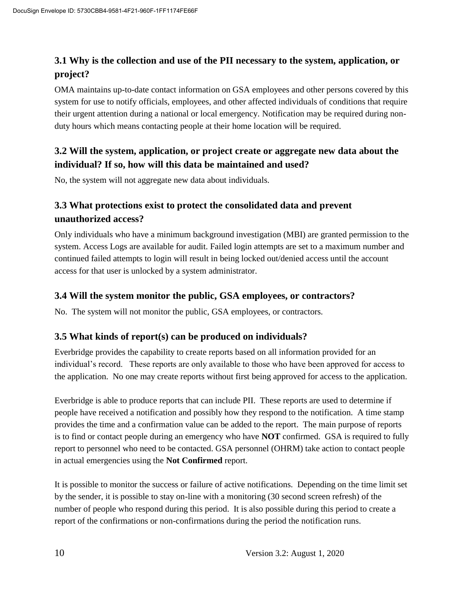## **3.1 Why is the collection and use of the PII necessary to the system, application, or project?**

OMA maintains up-to-date contact information on GSA employees and other persons covered by this system for use to notify officials, employees, and other affected individuals of conditions that require their urgent attention during a national or local emergency. Notification may be required during nonduty hours which means contacting people at their home location will be required.

#### **3.2 Will the system, application, or project create or aggregate new data about the individual? If so, how will this data be maintained and used?**

No, the system will not aggregate new data about individuals.

#### **3.3 What protections exist to protect the consolidated data and prevent unauthorized access?**

Only individuals who have a minimum background investigation (MBI) are granted permission to the system. Access Logs are available for audit. Failed login attempts are set to a maximum number and continued failed attempts to login will result in being locked out/denied access until the account access for that user is unlocked by a system administrator.

#### **3.4 Will the system monitor the public, GSA employees, or contractors?**

No. The system will not monitor the public, GSA employees, or contractors.

#### **3.5 What kinds of report(s) can be produced on individuals?**

Everbridge provides the capability to create reports based on all information provided for an individual's record. These reports are only available to those who have been approved for access to the application. No one may create reports without first being approved for access to the application.

Everbridge is able to produce reports that can include PII. These reports are used to determine if people have received a notification and possibly how they respond to the notification. A time stamp provides the time and a confirmation value can be added to the report. The main purpose of reports is to find or contact people during an emergency who have **NOT** confirmed. GSA is required to fully report to personnel who need to be contacted. GSA personnel (OHRM) take action to contact people in actual emergencies using the **Not Confirmed** report.

It is possible to monitor the success or failure of active notifications. Depending on the time limit set by the sender, it is possible to stay on-line with a monitoring (30 second screen refresh) of the number of people who respond during this period. It is also possible during this period to create a report of the confirmations or non-confirmations during the period the notification runs.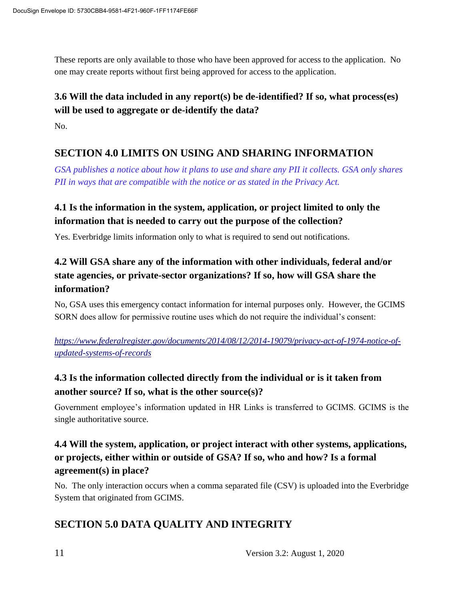These reports are only available to those who have been approved for access to the application. No one may create reports without first being approved for access to the application.

# **3.6 Will the data included in any report(s) be de-identified? If so, what process(es) will be used to aggregate or de-identify the data?**

No.

## **SECTION 4.0 LIMITS ON USING AND SHARING INFORMATION**

*GSA publishes a notice about how it plans to use and share any PII it collects. GSA only shares PII in ways that are compatible with the notice or as stated in the Privacy Act.*

#### **4.1 Is the information in the system, application, or project limited to only the information that is needed to carry out the purpose of the collection?**

Yes. Everbridge limits information only to what is required to send out notifications.

## **4.2 Will GSA share any of the information with other individuals, federal and/or state agencies, or private-sector organizations? If so, how will GSA share the information?**

No, GSA uses this emergency contact information for internal purposes only. However, the GCIMS SORN does allow for permissive routine uses which do not require the individual's consent:

*https://www.federalregister.gov/documents/2014/08/12/2014-19079/privacy-act-of-1974-notice-ofupdated-systems-of-records*

## **4.3 Is the information collected directly from the individual or is it taken from another source? If so, what is the other source(s)?**

Government employee's information updated in HR Links is transferred to GCIMS. GCIMS is the single authoritative source.

#### **4.4 Will the system, application, or project interact with other systems, applications, or projects, either within or outside of GSA? If so, who and how? Is a formal agreement(s) in place?**

No. The only interaction occurs when a comma separated file (CSV) is uploaded into the Everbridge System that originated from GCIMS.

## **SECTION 5.0 DATA QUALITY AND INTEGRITY**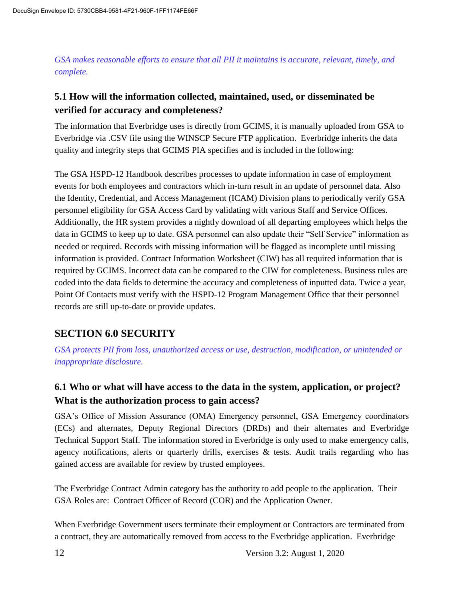*GSA makes reasonable efforts to ensure that all PII it maintains is accurate, relevant, timely, and complete.*

#### **5.1 How will the information collected, maintained, used, or disseminated be verified for accuracy and completeness?**

The information that Everbridge uses is directly from GCIMS, it is manually uploaded from GSA to Everbridge via .CSV file using the WINSCP Secure FTP application. Everbridge inherits the data quality and integrity steps that GCIMS PIA specifies and is included in the following:

The GSA HSPD-12 Handbook describes processes to update information in case of employment events for both employees and contractors which in-turn result in an update of personnel data. Also the Identity, Credential, and Access Management (ICAM) Division plans to periodically verify GSA personnel eligibility for GSA Access Card by validating with various Staff and Service Offices. Additionally, the HR system provides a nightly download of all departing employees which helps the data in GCIMS to keep up to date. GSA personnel can also update their "Self Service" information as needed or required. Records with missing information will be flagged as incomplete until missing information is provided. Contract Information Worksheet (CIW) has all required information that is required by GCIMS. Incorrect data can be compared to the CIW for completeness. Business rules are coded into the data fields to determine the accuracy and completeness of inputted data. Twice a year, Point Of Contacts must verify with the HSPD-12 Program Management Office that their personnel records are still up-to-date or provide updates.

#### **SECTION 6.0 SECURITY**

*GSA protects PII from loss, unauthorized access or use, destruction, modification, or unintended or inappropriate disclosure.*

#### **6.1 Who or what will have access to the data in the system, application, or project? What is the authorization process to gain access?**

GSA's Office of Mission Assurance (OMA) Emergency personnel, GSA Emergency coordinators (ECs) and alternates, Deputy Regional Directors (DRDs) and their alternates and Everbridge Technical Support Staff. The information stored in Everbridge is only used to make emergency calls, agency notifications, alerts or quarterly drills, exercises  $\&$  tests. Audit trails regarding who has gained access are available for review by trusted employees.

The Everbridge Contract Admin category has the authority to add people to the application. Their GSA Roles are: Contract Officer of Record (COR) and the Application Owner.

When Everbridge Government users terminate their employment or Contractors are terminated from a contract, they are automatically removed from access to the Everbridge application. Everbridge

12 Version 3.2: August 1, 2020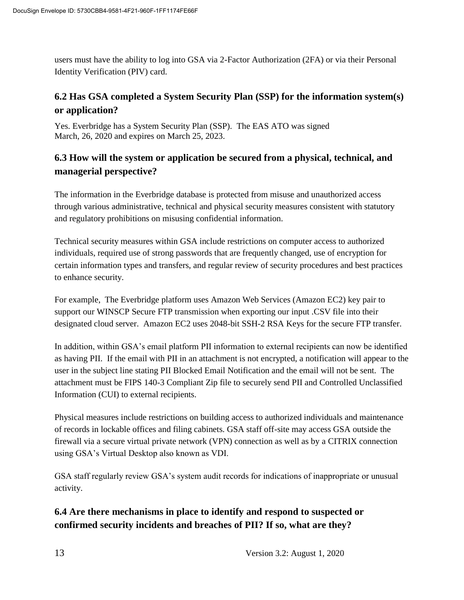users must have the ability to log into GSA via 2-Factor Authorization (2FA) or via their Personal Identity Verification (PIV) card.

#### **6.2 Has GSA completed a System Security Plan (SSP) for the information system(s) or application?**

Yes. Everbridge has a System Security Plan (SSP). The EAS ATO was signed March, 26, 2020 and expires on March 25, 2023.

#### **6.3 How will the system or application be secured from a physical, technical, and managerial perspective?**

The information in the Everbridge database is protected from misuse and unauthorized access through various administrative, technical and physical security measures consistent with statutory and regulatory prohibitions on misusing confidential information.

Technical security measures within GSA include restrictions on computer access to authorized individuals, required use of strong passwords that are frequently changed, use of encryption for certain information types and transfers, and regular review of security procedures and best practices to enhance security.

For example, The Everbridge platform uses Amazon Web Services (Amazon EC2) key pair to support our WINSCP Secure FTP transmission when exporting our input .CSV file into their designated cloud server. Amazon EC2 uses 2048-bit SSH-2 RSA Keys for the secure FTP transfer.

In addition, within GSA's email platform PII information to external recipients can now be identified as having PII. If the email with PII in an attachment is not encrypted, a notification will appear to the user in the subject line stating PII Blocked Email Notification and the email will not be sent. The attachment must be FIPS 140-3 Compliant Zip file to securely send PII and Controlled Unclassified Information (CUI) to external recipients.

Physical measures include restrictions on building access to authorized individuals and maintenance of records in lockable offices and filing cabinets. GSA staff off-site may access GSA outside the firewall via a secure virtual private network (VPN) connection as well as by a CITRIX connection using GSA's Virtual Desktop also known as VDI.

GSA staff regularly review GSA's system audit records for indications of inappropriate or unusual activity.

#### **6.4 Are there mechanisms in place to identify and respond to suspected or confirmed security incidents and breaches of PII? If so, what are they?**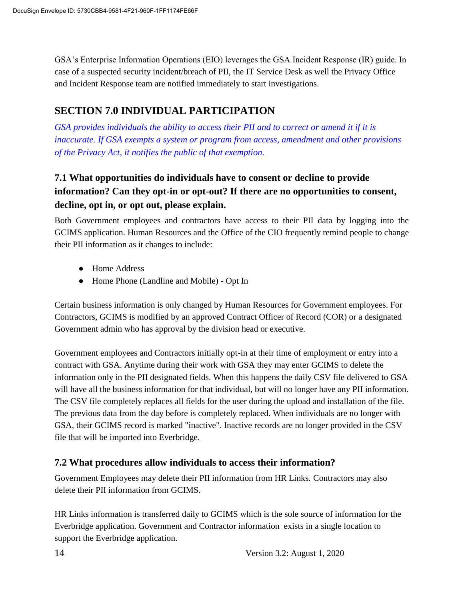GSA's Enterprise Information Operations (EIO) leverages the GSA Incident Response (IR) guide. In case of a suspected security incident/breach of PII, the IT Service Desk as well the Privacy Office and Incident Response team are notified immediately to start investigations.

## **SECTION 7.0 INDIVIDUAL PARTICIPATION**

*GSA provides individuals the ability to access their PII and to correct or amend it if it is inaccurate. If GSA exempts a system or program from access, amendment and other provisions of the Privacy Act, it notifies the public of that exemption.*

## **7.1 What opportunities do individuals have to consent or decline to provide information? Can they opt-in or opt-out? If there are no opportunities to consent, decline, opt in, or opt out, please explain.**

Both Government employees and contractors have access to their PII data by logging into the GCIMS application. Human Resources and the Office of the CIO frequently remind people to change their PII information as it changes to include:

- Home Address
- Home Phone (Landline and Mobile) Opt In

Certain business information is only changed by Human Resources for Government employees. For Contractors, GCIMS is modified by an approved Contract Officer of Record (COR) or a designated Government admin who has approval by the division head or executive.

Government employees and Contractors initially opt-in at their time of employment or entry into a contract with GSA. Anytime during their work with GSA they may enter GCIMS to delete the information only in the PII designated fields. When this happens the daily CSV file delivered to GSA will have all the business information for that individual, but will no longer have any PII information. The CSV file completely replaces all fields for the user during the upload and installation of the file. The previous data from the day before is completely replaced. When individuals are no longer with GSA, their GCIMS record is marked "inactive". Inactive records are no longer provided in the CSV file that will be imported into Everbridge.

#### **7.2 What procedures allow individuals to access their information?**

Government Employees may delete their PII information from HR Links. Contractors may also delete their PII information from GCIMS.

HR Links information is transferred daily to GCIMS which is the sole source of information for the Everbridge application. Government and Contractor information exists in a single location to support the Everbridge application.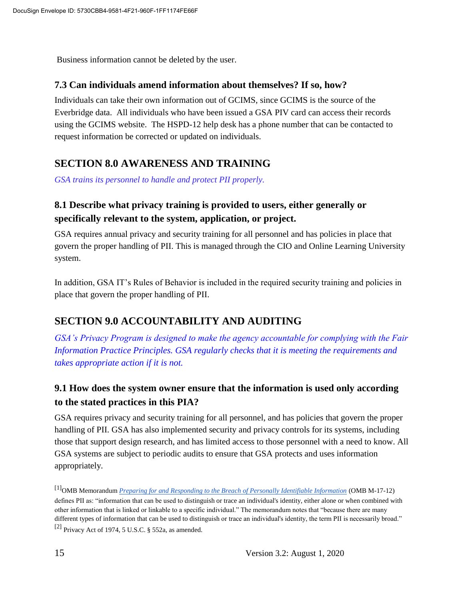Business information cannot be deleted by the user.

#### **7.3 Can individuals amend information about themselves? If so, how?**

Individuals can take their own information out of GCIMS, since GCIMS is the source of the Everbridge data. All individuals who have been issued a GSA PIV card can access their records using the GCIMS website. The HSPD-12 help desk has a phone number that can be contacted to request information be corrected or updated on individuals.

#### **SECTION 8.0 AWARENESS AND TRAINING**

*GSA trains its personnel to handle and protect PII properly.*

#### **8.1 Describe what privacy training is provided to users, either generally or specifically relevant to the system, application, or project.**

GSA requires annual privacy and security training for all personnel and has policies in place that govern the proper handling of PII. This is managed through the CIO and Online Learning University system.

In addition, GSA IT's Rules of Behavior is included in the required security training and policies in place that govern the proper handling of PII.

## **SECTION 9.0 ACCOUNTABILITY AND AUDITING**

*GSA's Privacy Program is designed to make the agency accountable for complying with the Fair Information Practice Principles. GSA regularly checks that it is meeting the requirements and takes appropriate action if it is not.*

#### **9.1 How does the system owner ensure that the information is used only according to the stated practices in this PIA?**

GSA requires privacy and security training for all personnel, and has policies that govern the proper handling of PII. GSA has also implemented security and privacy controls for its systems, including those that support design research, and has limited access to those personnel with a need to know. All GSA systems are subject to periodic audits to ensure that GSA protects and uses information appropriately.

[1]OMB Memorandum *Preparing for and Responding to the Breach of Personally Identifiable Information* (OMB M-17-12) defines PII as: "information that can be used to distinguish or trace an individual's identity, either alone or when combined with other information that is linked or linkable to a specific individual." The memorandum notes that "because there are many different types of information that can be used to distinguish or trace an individual's identity, the term PII is necessarily broad." [2] Privacy Act of 1974, 5 U.S.C. § 552a, as amended.